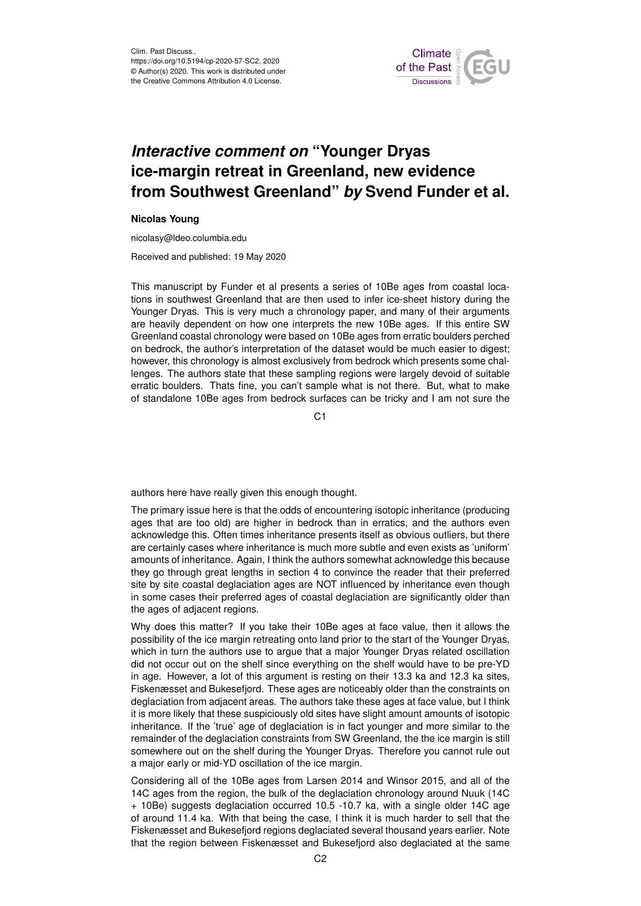

## *Interactive comment on* **"Younger Dryas ice-margin retreat in Greenland, new evidence from Southwest Greenland"** *by* **Svend Funder et al.**

## **Nicolas Young**

nicolasy@ldeo.columbia.edu

Received and published: 19 May 2020

This manuscript by Funder et al presents a series of 10Be ages from coastal locations in southwest Greenland that are then used to infer ice-sheet history during the Younger Dryas. This is very much a chronology paper, and many of their arguments are heavily dependent on how one interprets the new 10Be ages. If this entire SW Greenland coastal chronology were based on 10Be ages from erratic boulders perched on bedrock, the author's interpretation of the dataset would be much easier to digest; however, this chronology is almost exclusively from bedrock which presents some challenges. The authors state that these sampling regions were largely devoid of suitable erratic boulders. Thats fine, you can't sample what is not there. But, what to make of standalone 10Be ages from bedrock surfaces can be tricky and I am not sure the

C<sub>1</sub>

authors here have really given this enough thought.

The primary issue here is that the odds of encountering isotopic inheritance (producing ages that are too old) are higher in bedrock than in erratics, and the authors even acknowledge this. Often times inheritance presents itself as obvious outliers, but there are certainly cases where inheritance is much more subtle and even exists as 'uniform' amounts of inheritance. Again, I think the authors somewhat acknowledge this because they go through great lengths in section 4 to convince the reader that their preferred site by site coastal deglaciation ages are NOT influenced by inheritance even though in some cases their preferred ages of coastal deglaciation are significantly older than the ages of adjacent regions.

Why does this matter? If you take their 10Be ages at face value, then it allows the possibility of the ice margin retreating onto land prior to the start of the Younger Dryas, which in turn the authors use to argue that a major Younger Dryas related oscillation did not occur out on the shelf since everything on the shelf would have to be pre-YD in age. However, a lot of this argument is resting on their 13.3 ka and 12.3 ka sites, Fiskenæsset and Bukesefjord. These ages are noticeably older than the constraints on deglaciation from adjacent areas. The authors take these ages at face value, but I think it is more likely that these suspiciously old sites have slight amount amounts of isotopic inheritance. If the 'true' age of deglaciation is in fact younger and more similar to the remainder of the deglaciation constraints from SW Greenland, the the ice margin is still somewhere out on the shelf during the Younger Dryas. Therefore you cannot rule out a major early or mid-YD oscillation of the ice margin.

Considering all of the 10Be ages from Larsen 2014 and Winsor 2015, and all of the 14C ages from the region, the bulk of the deglaciation chronology around Nuuk (14C + 10Be) suggests deglaciation occurred 10.5 -10.7 ka, with a single older 14C age of around 11.4 ka. With that being the case, I think it is much harder to sell that the Fiskenæsset and Bukesefjord regions deglaciated several thousand years earlier. Note that the region between Fiskenæsset and Bukesefjord also deglaciated at the same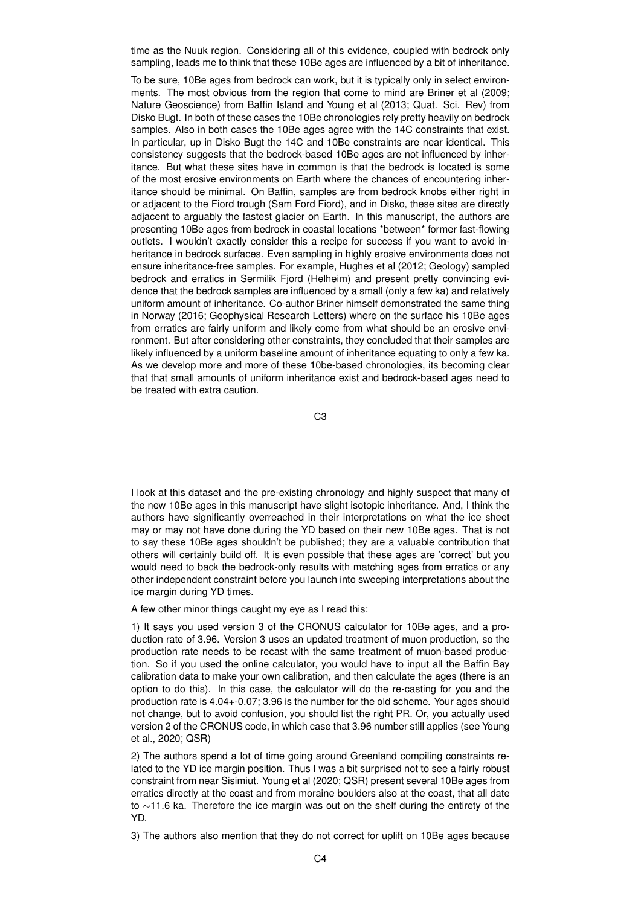time as the Nuuk region. Considering all of this evidence, coupled with bedrock only sampling, leads me to think that these 10Be ages are influenced by a bit of inheritance.

To be sure, 10Be ages from bedrock can work, but it is typically only in select environments. The most obvious from the region that come to mind are Briner et al (2009; Nature Geoscience) from Baffin Island and Young et al (2013; Quat. Sci. Rev) from Disko Bugt. In both of these cases the 10Be chronologies rely pretty heavily on bedrock samples. Also in both cases the 10Be ages agree with the 14C constraints that exist. In particular, up in Disko Bugt the 14C and 10Be constraints are near identical. This consistency suggests that the bedrock-based 10Be ages are not influenced by inheritance. But what these sites have in common is that the bedrock is located is some of the most erosive environments on Earth where the chances of encountering inheritance should be minimal. On Baffin, samples are from bedrock knobs either right in or adjacent to the Fiord trough (Sam Ford Fiord), and in Disko, these sites are directly adjacent to arguably the fastest glacier on Earth. In this manuscript, the authors are presenting 10Be ages from bedrock in coastal locations \*between\* former fast-flowing outlets. I wouldn't exactly consider this a recipe for success if you want to avoid inheritance in bedrock surfaces. Even sampling in highly erosive environments does not ensure inheritance-free samples. For example, Hughes et al (2012; Geology) sampled bedrock and erratics in Sermilik Fiord (Helheim) and present pretty convincing evidence that the bedrock samples are influenced by a small (only a few ka) and relatively uniform amount of inheritance. Co-author Briner himself demonstrated the same thing in Norway (2016; Geophysical Research Letters) where on the surface his 10Be ages from erratics are fairly uniform and likely come from what should be an erosive environment. But after considering other constraints, they concluded that their samples are likely influenced by a uniform baseline amount of inheritance equating to only a few ka. As we develop more and more of these 10be-based chronologies, its becoming clear that that small amounts of uniform inheritance exist and bedrock-based ages need to be treated with extra caution.

C3

I look at this dataset and the pre-existing chronology and highly suspect that many of the new 10Be ages in this manuscript have slight isotopic inheritance. And, I think the authors have significantly overreached in their interpretations on what the ice sheet may or may not have done during the YD based on their new 10Be ages. That is not to say these 10Be ages shouldn't be published; they are a valuable contribution that others will certainly build off. It is even possible that these ages are 'correct' but you would need to back the bedrock-only results with matching ages from erratics or any other independent constraint before you launch into sweeping interpretations about the ice margin during YD times.

A few other minor things caught my eye as I read this:

1) It says you used version 3 of the CRONUS calculator for 10Be ages, and a production rate of 3.96. Version 3 uses an updated treatment of muon production, so the production rate needs to be recast with the same treatment of muon-based production. So if you used the online calculator, you would have to input all the Baffin Bay calibration data to make your own calibration, and then calculate the ages (there is an option to do this). In this case, the calculator will do the re-casting for you and the production rate is 4.04+-0.07; 3.96 is the number for the old scheme. Your ages should not change, but to avoid confusion, you should list the right PR. Or, you actually used version 2 of the CRONUS code, in which case that 3.96 number still applies (see Young et al., 2020; QSR)

2) The authors spend a lot of time going around Greenland compiling constraints related to the YD ice margin position. Thus I was a bit surprised not to see a fairly robust constraint from near Sisimiut. Young et al (2020; QSR) present several 10Be ages from erratics directly at the coast and from moraine boulders also at the coast, that all date to ∼11.6 ka. Therefore the ice margin was out on the shelf during the entirety of the YD.

3) The authors also mention that they do not correct for uplift on 10Be ages because